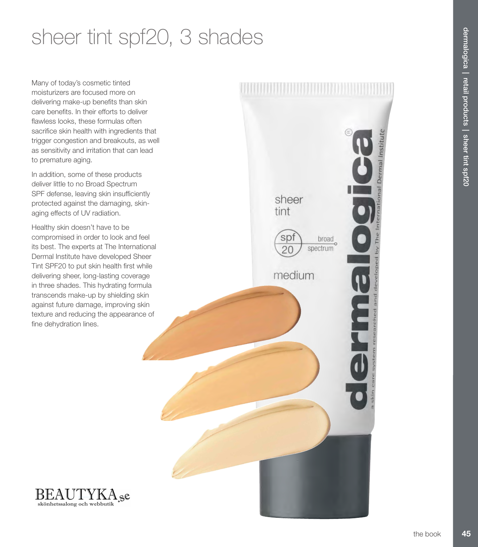# sheer tint spf20, 3 shades

Many of today's cosmetic tinted moisturizers are focused more on delivering make-up benefits than skin care benefits. In their efforts to deliver flawless looks, these formulas often sacrifice skin health with ingredients that trigger congestion and breakouts, as well as sensitivity and irritation that can lead to premature aging.

In addition, some of these products deliver little to no Broad Spectrum SPF defense, leaving skin insufficiently protected against the damaging, skinaging effects of UV radiation.

Healthy skin doesn't have to be compromised in order to look and feel its best. The experts at The International Dermal Institute have developed Sheer Tint SPF20 to put skin health first while delivering sheer, long-lasting coverage in three shades. This hydrating formula transcends make-up by shielding skin against future damage, improving skin texture and reducing the appearance of fine dehydration lines.





sheer

S<sub>p</sub>

 $20$ 

medium

broad

spectrum

tint